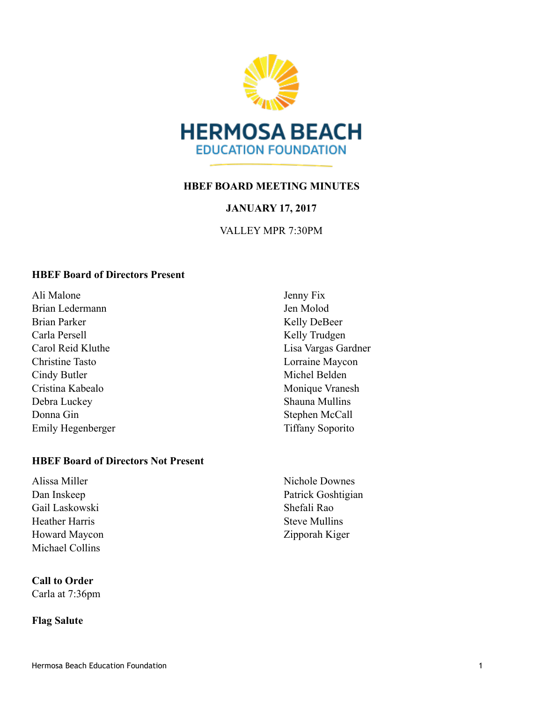

## **HBEF BOARD MEETING MINUTES**

## **JANUARY 17, 2017**

## VALLEY MPR 7:30PM

#### **HBEF Board of Directors Present**

Ali Malone Brian Ledermann Brian Parker Carla Persell Carol Reid Kluthe Christine Tasto Cindy Butler Cristina Kabealo Debra Luckey Donna Gin Emily Hegenberger

#### **HBEF Board of Directors Not Present**

Alissa Miller Dan Inskeep Gail Laskowski Heather Harris Howard Maycon Michael Collins

## **Call to Order**

Carla at 7:36pm

#### **Flag Salute**

Jenny Fix Jen Molod Kelly DeBeer Kelly Trudgen Lisa Vargas Gardner Lorraine Maycon Michel Belden Monique Vranesh Shauna Mullins Stephen McCall Tiffany Soporito

Nichole Downes Patrick Goshtigian Shefali Rao Steve Mullins Zipporah Kiger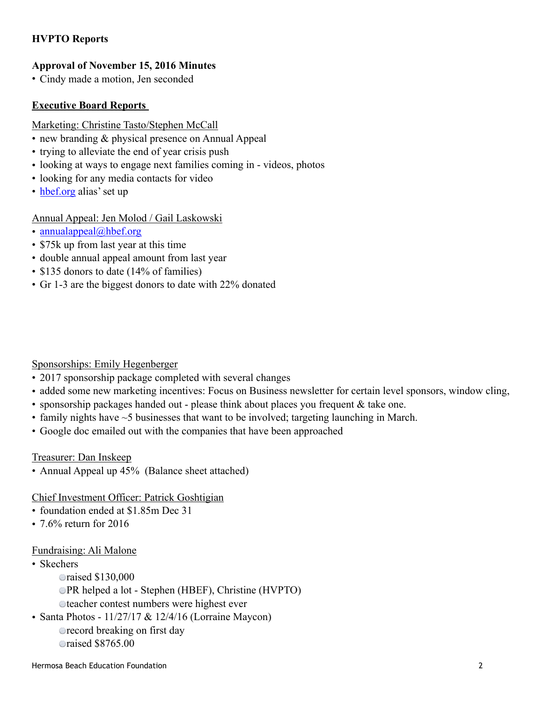# **HVPTO Reports**

## **Approval of November 15, 2016 Minutes**

• Cindy made a motion, Jen seconded

## **Executive Board Reports**

#### Marketing: Christine Tasto/Stephen McCall

- new branding & physical presence on Annual Appeal
- trying to alleviate the end of year crisis push
- looking at ways to engage next families coming in videos, photos
- looking for any media contacts for video
- [hbef.org](http://hbef.org) alias' set up

## Annual Appeal: Jen Molod / Gail Laskowski

- [annualappeal@hbef.org](mailto:annualappeal@hbef.org)
- \$75k up from last year at this time
- double annual appeal amount from last year
- \$135 donors to date (14% of families)
- Gr 1-3 are the biggest donors to date with 22% donated

## Sponsorships: Emily Hegenberger

- 2017 sponsorship package completed with several changes
- added some new marketing incentives: Focus on Business newsletter for certain level sponsors, window cling,
- sponsorship packages handed out please think about places you frequent  $\&$  take one.
- family nights have  $\sim$  5 businesses that want to be involved; targeting launching in March.
- Google doc emailed out with the companies that have been approached

#### Treasurer: Dan Inskeep

- Annual Appeal up 45% (Balance sheet attached)
- Chief Investment Officer: Patrick Goshtigian
- foundation ended at \$1.85m Dec 31.
- 7.6% return for 2016

#### Fundraising: Ali Malone

- Skechers
	- raised \$130,000
	- PR helped a lot Stephen (HBEF), Christine (HVPTO)
	- teacher contest numbers were highest ever
- Santa Photos  $11/27/17$  &  $12/4/16$  (Lorraine Maycon)
	- **•** record breaking on first day raised \$8765.00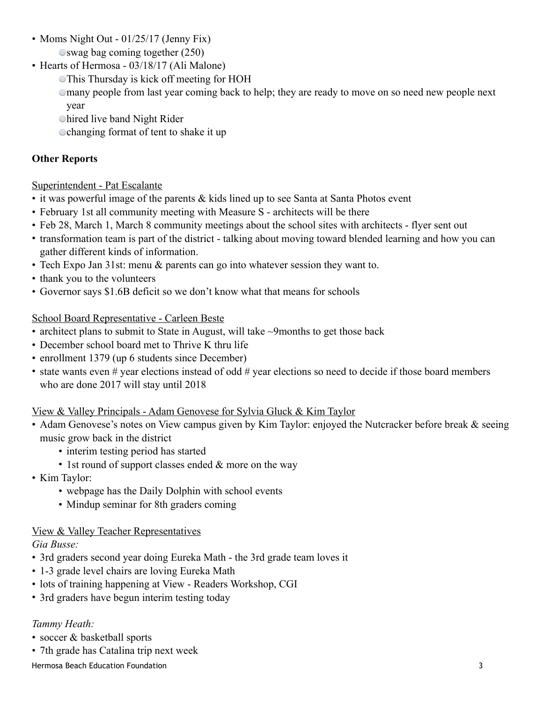- Moms Night Out 01/25/17 (Jenny Fix) swag bag coming together (250)
- Hearts of Hermosa 03/18/17 (Ali Malone)
	- This Thursday is kick off meeting for HOH
	- many people from last year coming back to help; they are ready to move on so need new people next year
	- hired live band Night Rider
	- changing format of tent to shake it up

# **Other Reports**

# Superintendent - Pat Escalante

- it was powerful image of the parents & kids lined up to see Santa at Santa Photos event
- February 1st all community meeting with Measure S architects will be there
- Feb 28, March 1, March 8 community meetings about the school sites with architects flyer sent out
- transformation team is part of the district talking about moving toward blended learning and how you can gather different kinds of information.
- Tech Expo Jan 31st: menu & parents can go into whatever session they want to.
- thank you to the volunteers
- Governor says \$1.6B deficit so we don't know what that means for schools

## School Board Representative - Carleen Beste

- architect plans to submit to State in August, will take ~9months to get those back
- December school board met to Thrive K thru life
- enrollment 1379 (up 6 students since December)
- state wants even # year elections instead of odd # year elections so need to decide if those board members who are done 2017 will stay until 2018

# View & Valley Principals - Adam Genovese for Sylvia Gluck & Kim Taylor

- Adam Genovese's notes on View campus given by Kim Taylor: enjoyed the Nutcracker before break & seeing music grow back in the district
	- interim testing period has started
	- 1st round of support classes ended  $&$  more on the way
- Kim Taylor:
	- webpage has the Daily Dolphin with school events
	- Mindup seminar for 8th graders coming

# View & Valley Teacher Representatives

## *Gia Busse:*

- 3rd graders second year doing Eureka Math the 3rd grade team loves it
- 1-3 grade level chairs are loving Eureka Math
- lots of training happening at View Readers Workshop, CGI
- 3rd graders have begun interim testing today

# *Tammy Heath:*

- soccer & basketball sports
- 7th grade has Catalina trip next week

Hermosa Beach Education Foundation 3